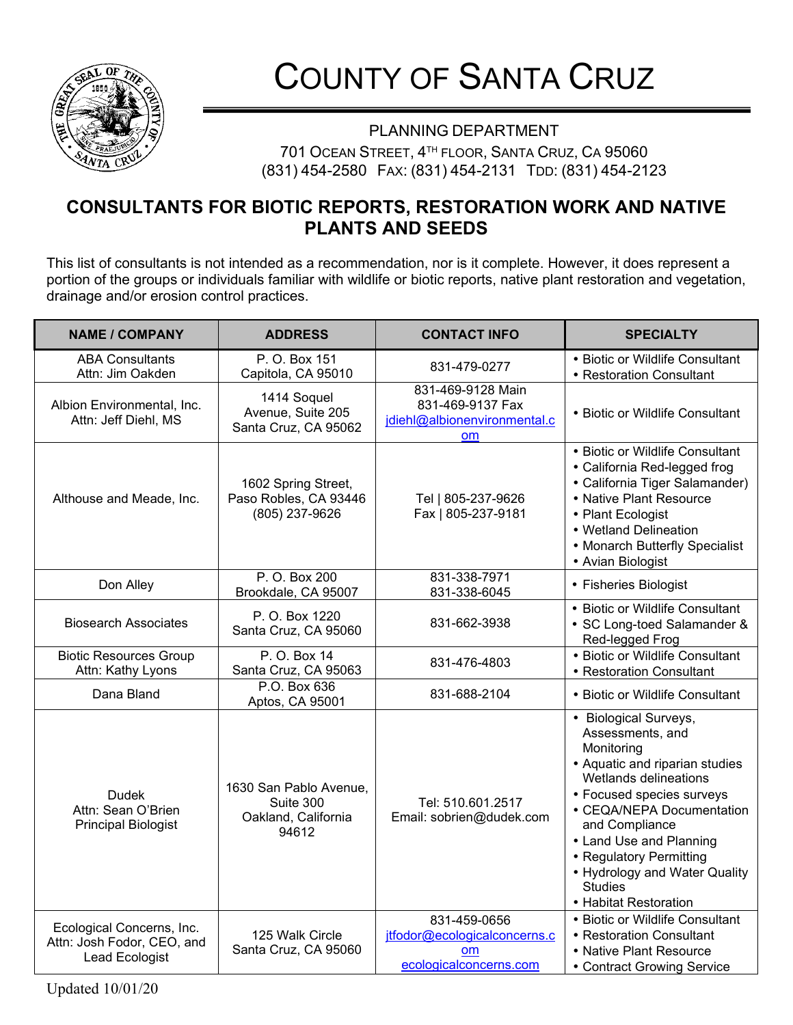

## COUNTY OF SANTA CRUZ

## PLANNING DEPARTMENT

701 OCEAN STREET, 4 TH FLOOR, SANTA CRUZ, CA 95060 (831) 454-2580 FAX: (831) 454-2131 TDD: (831) 454-2123

## **CONSULTANTS FOR BIOTIC REPORTS, RESTORATION WORK AND NATIVE PLANTS AND SEEDS**

This list of consultants is not intended as a recommendation, nor is it complete. However, it does represent a portion of the groups or individuals familiar with wildlife or biotic reports, native plant restoration and vegetation, drainage and/or erosion control practices.

| <b>NAME / COMPANY</b>                                                            | <b>ADDRESS</b>                                                      | <b>CONTACT INFO</b>                                                                 | <b>SPECIALTY</b>                                                                                                                                                                                                                                                                                                                 |
|----------------------------------------------------------------------------------|---------------------------------------------------------------------|-------------------------------------------------------------------------------------|----------------------------------------------------------------------------------------------------------------------------------------------------------------------------------------------------------------------------------------------------------------------------------------------------------------------------------|
| <b>ABA Consultants</b><br>Attn: Jim Oakden                                       | P. O. Box 151<br>Capitola, CA 95010                                 | 831-479-0277                                                                        | • Biotic or Wildlife Consultant<br>• Restoration Consultant                                                                                                                                                                                                                                                                      |
| Albion Environmental, Inc.<br>Attn: Jeff Diehl, MS                               | 1414 Soquel<br>Avenue, Suite 205<br>Santa Cruz, CA 95062            | 831-469-9128 Main<br>831-469-9137 Fax<br>jdiehl@albionenvironmental.c<br>om         | • Biotic or Wildlife Consultant                                                                                                                                                                                                                                                                                                  |
| Althouse and Meade, Inc.                                                         | 1602 Spring Street,<br>Paso Robles, CA 93446<br>(805) 237-9626      | Tel   805-237-9626<br>Fax   805-237-9181                                            | • Biotic or Wildlife Consultant<br>• California Red-legged frog<br>• California Tiger Salamander)<br>• Native Plant Resource<br>• Plant Ecologist<br>• Wetland Delineation<br>• Monarch Butterfly Specialist<br>• Avian Biologist                                                                                                |
| Don Alley                                                                        | P. O. Box 200<br>Brookdale, CA 95007                                | 831-338-7971<br>831-338-6045                                                        | • Fisheries Biologist                                                                                                                                                                                                                                                                                                            |
| <b>Biosearch Associates</b>                                                      | P. O. Box 1220<br>Santa Cruz, CA 95060                              | 831-662-3938                                                                        | • Biotic or Wildlife Consultant<br>• SC Long-toed Salamander &<br>Red-legged Frog                                                                                                                                                                                                                                                |
| <b>Biotic Resources Group</b><br>Attn: Kathy Lyons                               | P. O. Box 14<br>Santa Cruz, CA 95063                                | 831-476-4803                                                                        | • Biotic or Wildlife Consultant<br>• Restoration Consultant                                                                                                                                                                                                                                                                      |
| Dana Bland                                                                       | P.O. Box 636<br>Aptos, CA 95001                                     | 831-688-2104                                                                        | • Biotic or Wildlife Consultant                                                                                                                                                                                                                                                                                                  |
| <b>Dudek</b><br>Attn: Sean O'Brien<br><b>Principal Biologist</b>                 | 1630 San Pablo Avenue,<br>Suite 300<br>Oakland, California<br>94612 | Tel: 510.601.2517<br>Email: sobrien@dudek.com                                       | • Biological Surveys,<br>Assessments, and<br>Monitoring<br>• Aquatic and riparian studies<br>Wetlands delineations<br>• Focused species surveys<br>• CEQA/NEPA Documentation<br>and Compliance<br>• Land Use and Planning<br>• Regulatory Permitting<br>• Hydrology and Water Quality<br><b>Studies</b><br>• Habitat Restoration |
| Ecological Concerns, Inc.<br>Attn: Josh Fodor, CEO, and<br><b>Lead Ecologist</b> | 125 Walk Circle<br>Santa Cruz, CA 95060                             | 831-459-0656<br>jtfodor@ecologicalconcerns.c<br><b>om</b><br>ecologicalconcerns.com | • Biotic or Wildlife Consultant<br>• Restoration Consultant<br>• Native Plant Resource<br>• Contract Growing Service                                                                                                                                                                                                             |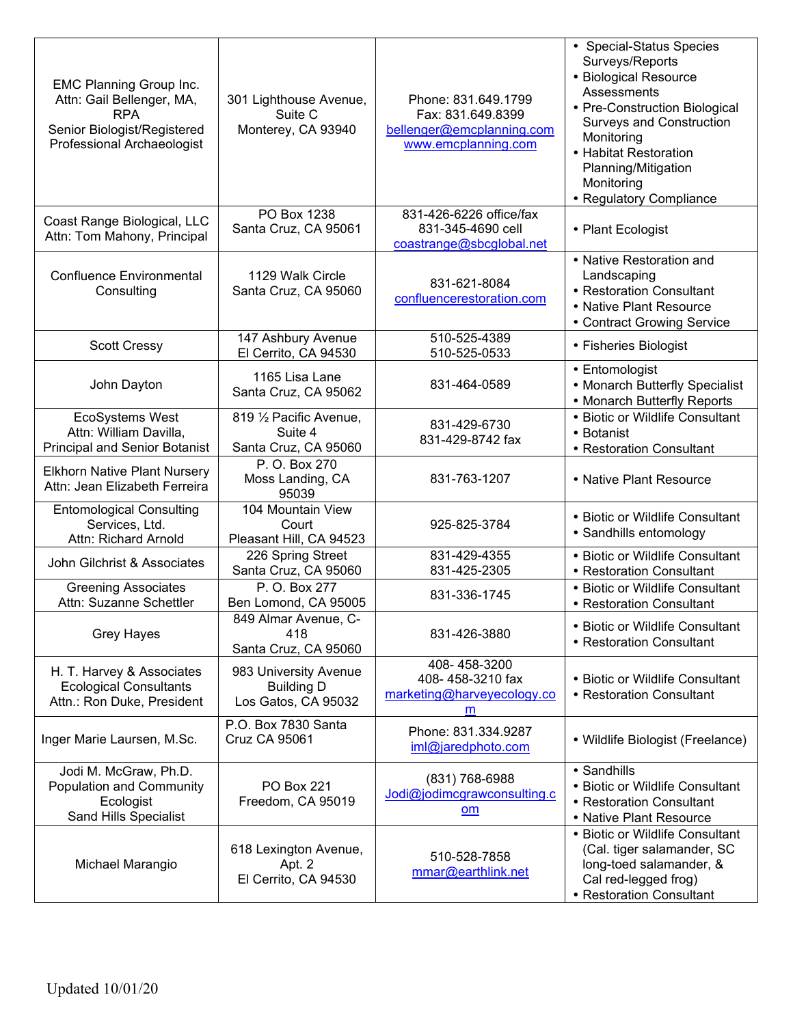| <b>EMC Planning Group Inc.</b><br>Attn: Gail Bellenger, MA,<br><b>RPA</b><br>Senior Biologist/Registered<br>Professional Archaeologist | 301 Lighthouse Avenue,<br>Suite C<br>Monterey, CA 93940           | Phone: 831.649.1799<br>Fax: 831.649.8399<br>bellenger@emcplanning.com<br>www.emcplanning.com | • Special-Status Species<br>Surveys/Reports<br>· Biological Resource<br>Assessments<br>• Pre-Construction Biological<br><b>Surveys and Construction</b><br>Monitoring<br>• Habitat Restoration<br>Planning/Mitigation<br>Monitoring<br>• Regulatory Compliance |
|----------------------------------------------------------------------------------------------------------------------------------------|-------------------------------------------------------------------|----------------------------------------------------------------------------------------------|----------------------------------------------------------------------------------------------------------------------------------------------------------------------------------------------------------------------------------------------------------------|
| Coast Range Biological, LLC<br>Attn: Tom Mahony, Principal                                                                             | PO Box 1238<br>Santa Cruz, CA 95061                               | 831-426-6226 office/fax<br>831-345-4690 cell<br>coastrange@sbcglobal.net                     | • Plant Ecologist                                                                                                                                                                                                                                              |
| <b>Confluence Environmental</b><br>Consulting                                                                                          | 1129 Walk Circle<br>Santa Cruz, CA 95060                          | 831-621-8084<br>confluencerestoration.com                                                    | • Native Restoration and<br>Landscaping<br>• Restoration Consultant<br>• Native Plant Resource<br>• Contract Growing Service                                                                                                                                   |
| <b>Scott Cressy</b>                                                                                                                    | 147 Ashbury Avenue<br>El Cerrito, CA 94530                        | 510-525-4389<br>510-525-0533                                                                 | • Fisheries Biologist                                                                                                                                                                                                                                          |
| John Dayton                                                                                                                            | 1165 Lisa Lane<br>Santa Cruz, CA 95062                            | 831-464-0589                                                                                 | • Entomologist<br>• Monarch Butterfly Specialist<br>• Monarch Butterfly Reports                                                                                                                                                                                |
| EcoSystems West<br>Attn: William Davilla,<br><b>Principal and Senior Botanist</b>                                                      | 819 1/2 Pacific Avenue,<br>Suite 4<br>Santa Cruz, CA 95060        | 831-429-6730<br>831-429-8742 fax                                                             | • Biotic or Wildlife Consultant<br>• Botanist<br>• Restoration Consultant                                                                                                                                                                                      |
| <b>Elkhorn Native Plant Nursery</b><br>Attn: Jean Elizabeth Ferreira                                                                   | P. O. Box 270<br>Moss Landing, CA<br>95039                        | 831-763-1207                                                                                 | • Native Plant Resource                                                                                                                                                                                                                                        |
| <b>Entomological Consulting</b><br>Services, Ltd.<br>Attn: Richard Arnold                                                              | 104 Mountain View<br>Court<br>Pleasant Hill, CA 94523             | 925-825-3784                                                                                 | • Biotic or Wildlife Consultant<br>• Sandhills entomology                                                                                                                                                                                                      |
| John Gilchrist & Associates                                                                                                            | 226 Spring Street<br>Santa Cruz, CA 95060                         | 831-429-4355<br>831-425-2305                                                                 | • Biotic or Wildlife Consultant<br>• Restoration Consultant                                                                                                                                                                                                    |
| <b>Greening Associates</b><br>Attn: Suzanne Schettler                                                                                  | P. O. Box 277<br>Ben Lomond, CA 95005                             | 831-336-1745                                                                                 | • Biotic or Wildlife Consultant<br>• Restoration Consultant                                                                                                                                                                                                    |
| <b>Grey Hayes</b>                                                                                                                      | 849 Almar Avenue, C-<br>418<br>Santa Cruz, CA 95060               | 831-426-3880                                                                                 | • Biotic or Wildlife Consultant<br>• Restoration Consultant                                                                                                                                                                                                    |
| H. T. Harvey & Associates<br><b>Ecological Consultants</b><br>Attn.: Ron Duke, President                                               | 983 University Avenue<br><b>Building D</b><br>Los Gatos, CA 95032 | 408-458-3200<br>408-458-3210 fax<br>marketing@harveyecology.co<br>m                          | • Biotic or Wildlife Consultant<br>• Restoration Consultant                                                                                                                                                                                                    |
| Inger Marie Laursen, M.Sc.                                                                                                             | P.O. Box 7830 Santa<br><b>Cruz CA 95061</b>                       | Phone: 831.334.9287<br>iml@jaredphoto.com                                                    | • Wildlife Biologist (Freelance)                                                                                                                                                                                                                               |
| Jodi M. McGraw, Ph.D.<br><b>Population and Community</b><br>Ecologist<br>Sand Hills Specialist                                         | <b>PO Box 221</b><br>Freedom, CA 95019                            | (831) 768-6988<br>Jodi@jodimcgrawconsulting.c<br><b>om</b>                                   | • Sandhills<br>• Biotic or Wildlife Consultant<br>• Restoration Consultant<br>• Native Plant Resource                                                                                                                                                          |
| Michael Marangio                                                                                                                       | 618 Lexington Avenue,<br>Apt. 2<br>El Cerrito, CA 94530           | 510-528-7858<br>mmar@earthlink.net                                                           | • Biotic or Wildlife Consultant<br>(Cal. tiger salamander, SC<br>long-toed salamander, &<br>Cal red-legged frog)<br>• Restoration Consultant                                                                                                                   |